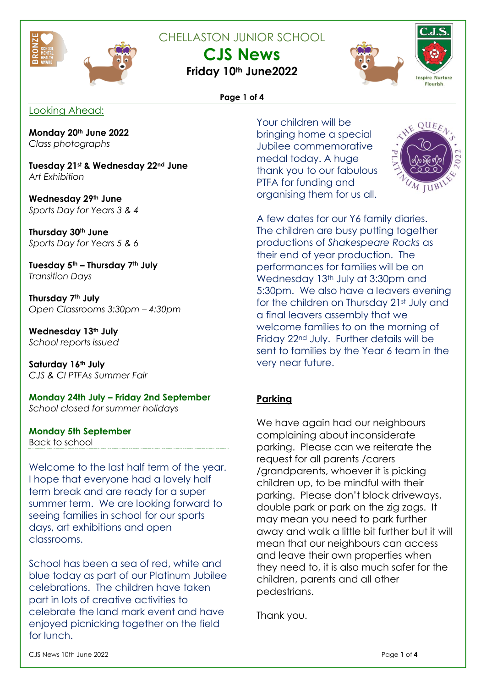

CHELLASTON JUNIOR SCHOOL

**CJS News**

**Friday 10th June2022**





### **Page 1 of 4**

Looking Ahead:

**Monday 20th June 2022** *Class photographs*

**Tuesday 21st & Wednesday 22nd June** *Art Exhibition*

**Wednesday 29th June** *Sports Day for Years 3 & 4*

**Thursday 30th June** *Sports Day for Years 5 & 6*

**Tuesday 5th – Thursday 7th July** *Transition Days*

**Thursday 7th July** *Open Classrooms 3:30pm – 4:30pm*

**Wednesday 13th July** *School reports issued*

**Saturday 16th July** *CJS & CI PTFAs Summer Fair*

**Monday 24th July – Friday 2nd September** *School closed for summer holidays*

**Monday 5th September** Back to school

Welcome to the last half term of the year. I hope that everyone had a lovely half term break and are ready for a super summer term. We are looking forward to seeing families in school for our sports days, art exhibitions and open classrooms.

School has been a sea of red, white and blue today as part of our Platinum Jubilee celebrations. The children have taken part in lots of creative activities to celebrate the land mark event and have enjoyed picnicking together on the field for lunch.

Your children will be bringing home a special Jubilee commemorative medal today. A huge thank you to our fabulous PTFA for funding and organising them for us all.



A few dates for our Y6 family diaries. The children are busy putting together productions of *Shakespeare Rocks* as their end of year production. The performances for families will be on Wednesday 13<sup>th</sup> July at 3:30pm and 5:30pm. We also have a leavers evening for the children on Thursday 21st July and a final leavers assembly that we welcome families to on the morning of Friday 22nd July. Further details will be sent to families by the Year 6 team in the very near future.

### **Parking**

We have again had our neighbours complaining about inconsiderate parking. Please can we reiterate the request for all parents /carers /grandparents, whoever it is picking children up, to be mindful with their parking. Please don't block driveways, double park or park on the zig zags. It may mean you need to park further away and walk a little bit further but it will mean that our neighbours can access and leave their own properties when they need to, it is also much safer for the children, parents and all other pedestrians.

Thank you.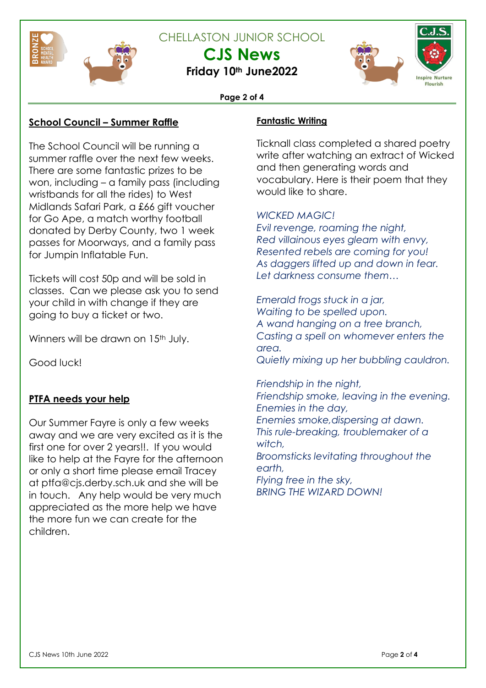

CHELLASTON JUNIOR SCHOOL

**CJS News**

**Friday 10th June2022**





### **Page 2 of 4**

### **School Council – Summer Raffle**

The School Council will be running a summer raffle over the next few weeks. There are some fantastic prizes to be won, including – a family pass (including wristbands for all the rides) to West Midlands Safari Park, a £66 gift voucher for Go Ape, a match worthy football donated by Derby County, two 1 week passes for Moorways, and a family pass for Jumpin Inflatable Fun.

Tickets will cost 50p and will be sold in classes. Can we please ask you to send your child in with change if they are going to buy a ticket or two.

Winners will be drawn on 15<sup>th</sup> July.

Good luck!

## **PTFA needs your help**

Our Summer Fayre is only a few weeks away and we are very excited as it is the first one for over 2 years!!. If you would like to help at the Fayre for the afternoon or only a short time please email Tracey at ptfa@cjs.derby.sch.uk and she will be in touch. Any help would be very much appreciated as the more help we have the more fun we can create for the children.

### **Fantastic Writing**

Ticknall class completed a shared poetry write after watching an extract of Wicked and then generating words and vocabulary. Here is their poem that they would like to share.

## *WICKED MAGIC!*

*Evil revenge, roaming the night, Red villainous eyes gleam with envy, Resented rebels are coming for you! As daggers lifted up and down in fear. Let darkness consume them…*

*Emerald frogs stuck in a jar, Waiting to be spelled upon.*

*A wand hanging on a tree branch, Casting a spell on whomever enters the area.*

*Quietly mixing up her bubbling cauldron.*

*Friendship in the night,*

*Friendship smoke, leaving in the evening. Enemies in the day,*

*Enemies smoke,dispersing at dawn. This rule-breaking, troublemaker of a witch,*

*Broomsticks levitating throughout the earth,*

*Flying free in the sky, BRING THE WIZARD DOWN!*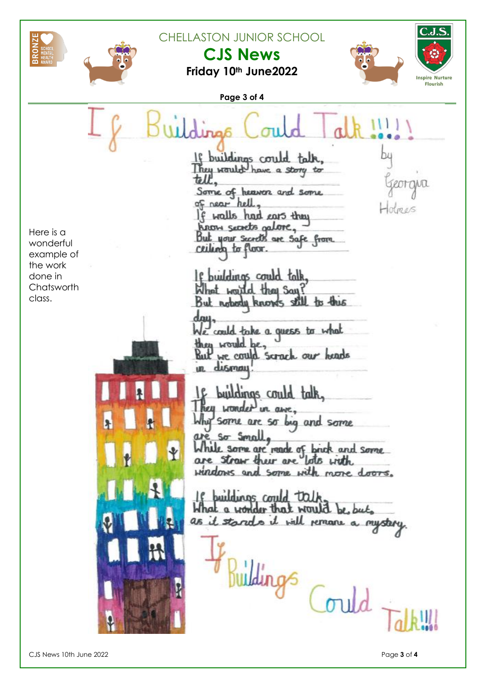



**Friday 10th June2022**





**Page 3 of 4** buildings could They would have a story to tell. ornia Some of heaven and some of near hell, If walls had cars they know secrets galore, Here is a But your secrets are safe from wonderful ceiling to floor. example of the work If buildings could talk done in Chatsworth What waited they Say! class.But notody knows still to this dau. We could take a quess to what they would be, But we could scrack our heads dismay un. buildings could talk. hell wonder in ame. 'Some are so by and some So Small While some are made of brick and some  $\ddot{\mathbf{r}}$ are straw their are lots with windows and some with more doors. buildings could talk What a wonder that would be but as it stands it will remane a mystery. Buildings Could